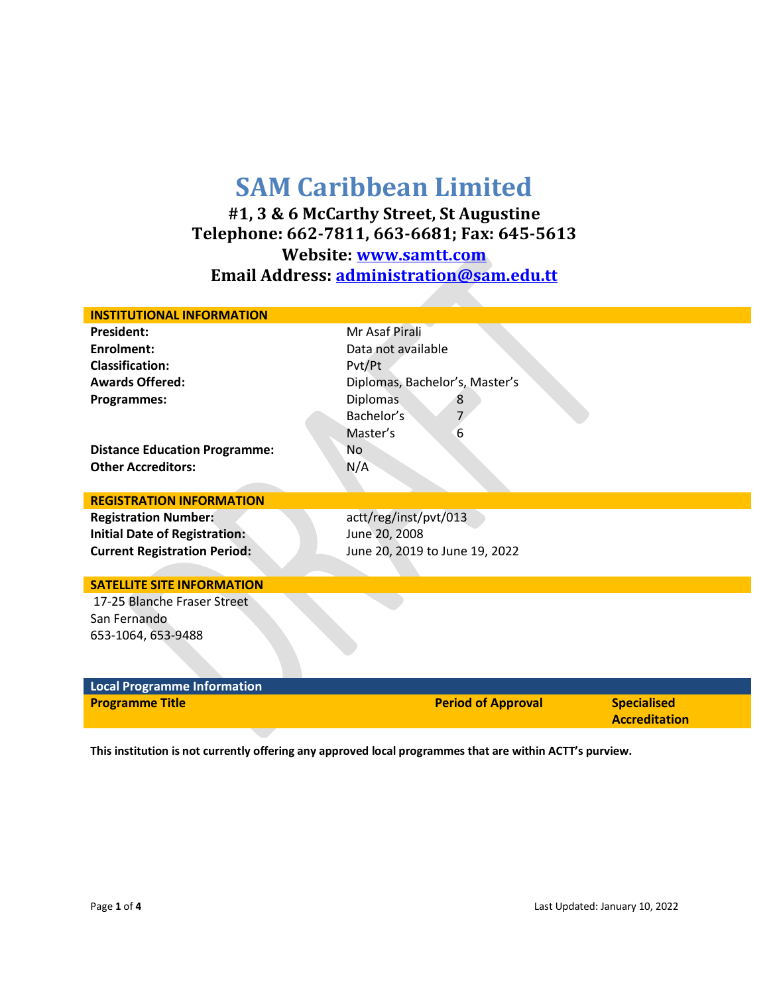## **SAM Caribbean Limited**

**#1, 3 & 6 McCarthy Street, St Augustine Telephone: 662-7811, 663-6681; Fax: 645-5613 Website: [www.samtt.com](http://www.samtt.com/) Email Address: [administration@sam.edu.tt](mailto:administration@sam.edu.tt)**

| <b>INSTITUTIONAL INFORMATION</b>     |                                |  |
|--------------------------------------|--------------------------------|--|
| <b>President:</b>                    | Mr Asaf Pirali                 |  |
| <b>Enrolment:</b>                    | Data not available             |  |
| <b>Classification:</b>               | Pvt/Pt                         |  |
| <b>Awards Offered:</b>               | Diplomas, Bachelor's, Master's |  |
| <b>Programmes:</b>                   | <b>Diplomas</b><br>8           |  |
|                                      | Bachelor's                     |  |
|                                      | Master's<br>6                  |  |
| <b>Distance Education Programme:</b> | No.                            |  |
| <b>Other Accreditors:</b>            | N/A                            |  |
|                                      |                                |  |
| <b>REGISTRATION INFORMATION</b>      |                                |  |
| <b>Registration Number:</b>          | actt/reg/inst/pvt/013          |  |
| <b>Initial Date of Registration:</b> | June 20, 2008                  |  |
| <b>Current Registration Period:</b>  | June 20, 2019 to June 19, 2022 |  |
|                                      |                                |  |
| <b>SATELLITE SITE INFORMATION</b>    |                                |  |
| 17-25 Blanche Fraser Street          |                                |  |
| San Fernando                         |                                |  |
| 653-1064, 653-9488                   |                                |  |
|                                      |                                |  |
|                                      |                                |  |
| <b>Local Programme Information</b>   |                                |  |

| <b>Programme Title</b> | <b>Period of Approval</b> | <b>Specialised</b>   |
|------------------------|---------------------------|----------------------|
|                        |                           | <b>Accreditation</b> |

**This institution is not currently offering any approved local programmes that are within ACTT's purview.**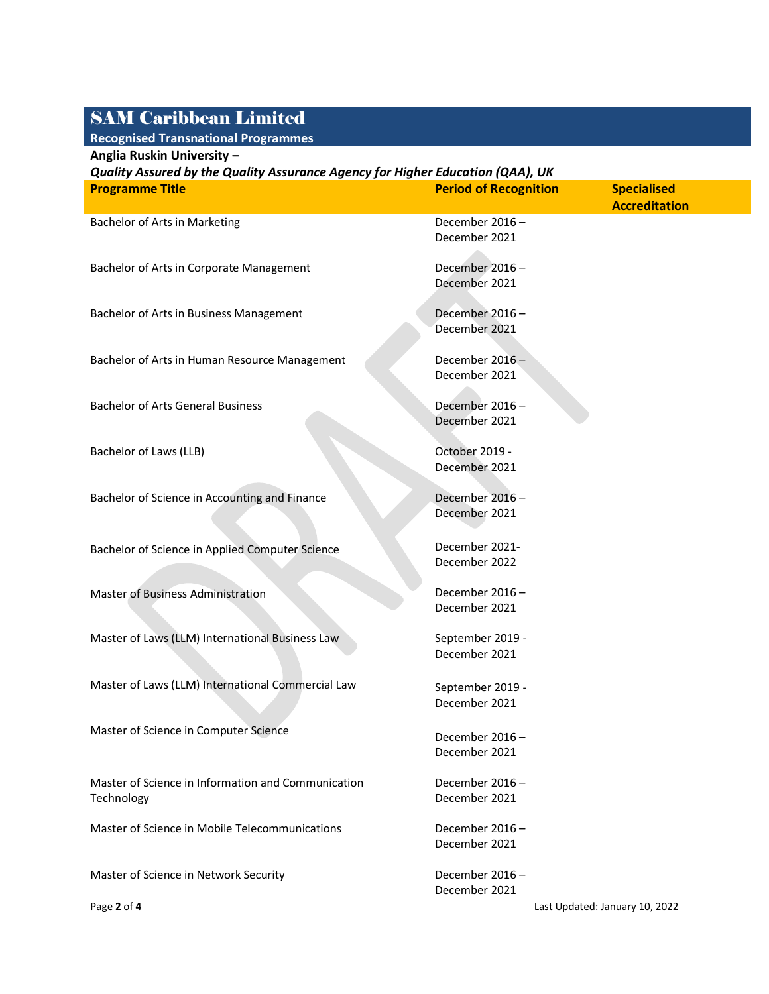## SAM Caribbean Limited

**Recognised Transnational Programmes**

| Anglia Ruskin University -                                                     |                              |                                |  |  |
|--------------------------------------------------------------------------------|------------------------------|--------------------------------|--|--|
| Quality Assured by the Quality Assurance Agency for Higher Education (QAA), UK |                              |                                |  |  |
| <b>Programme Title</b>                                                         | <b>Period of Recognition</b> | <b>Specialised</b>             |  |  |
|                                                                                |                              | <b>Accreditation</b>           |  |  |
| Bachelor of Arts in Marketing                                                  | December 2016-               |                                |  |  |
|                                                                                | December 2021                |                                |  |  |
|                                                                                |                              |                                |  |  |
| Bachelor of Arts in Corporate Management                                       | December 2016-               |                                |  |  |
|                                                                                | December 2021                |                                |  |  |
|                                                                                |                              |                                |  |  |
| Bachelor of Arts in Business Management                                        | December 2016-               |                                |  |  |
|                                                                                | December 2021                |                                |  |  |
|                                                                                |                              |                                |  |  |
| Bachelor of Arts in Human Resource Management                                  | December 2016-               |                                |  |  |
|                                                                                | December 2021                |                                |  |  |
|                                                                                |                              |                                |  |  |
| <b>Bachelor of Arts General Business</b>                                       | December 2016-               |                                |  |  |
|                                                                                | December 2021                |                                |  |  |
|                                                                                |                              |                                |  |  |
| Bachelor of Laws (LLB)                                                         | October 2019 -               |                                |  |  |
|                                                                                | December 2021                |                                |  |  |
|                                                                                |                              |                                |  |  |
| Bachelor of Science in Accounting and Finance                                  | December 2016-               |                                |  |  |
|                                                                                | December 2021                |                                |  |  |
|                                                                                |                              |                                |  |  |
|                                                                                | December 2021-               |                                |  |  |
| Bachelor of Science in Applied Computer Science                                | December 2022                |                                |  |  |
|                                                                                |                              |                                |  |  |
| <b>Master of Business Administration</b>                                       | December 2016-               |                                |  |  |
|                                                                                | December 2021                |                                |  |  |
|                                                                                |                              |                                |  |  |
| Master of Laws (LLM) International Business Law                                | September 2019 -             |                                |  |  |
|                                                                                | December 2021                |                                |  |  |
|                                                                                |                              |                                |  |  |
| Master of Laws (LLM) International Commercial Law                              |                              |                                |  |  |
|                                                                                | September 2019 -             |                                |  |  |
|                                                                                | December 2021                |                                |  |  |
| Master of Science in Computer Science                                          |                              |                                |  |  |
|                                                                                | December 2016-               |                                |  |  |
|                                                                                | December 2021                |                                |  |  |
|                                                                                |                              |                                |  |  |
| Master of Science in Information and Communication                             | December 2016-               |                                |  |  |
| Technology                                                                     | December 2021                |                                |  |  |
|                                                                                |                              |                                |  |  |
| Master of Science in Mobile Telecommunications                                 | December 2016-               |                                |  |  |
|                                                                                | December 2021                |                                |  |  |
|                                                                                |                              |                                |  |  |
| Master of Science in Network Security                                          | December 2016-               |                                |  |  |
|                                                                                | December 2021                |                                |  |  |
| Page 2 of 4                                                                    |                              | Last Updated: January 10, 2022 |  |  |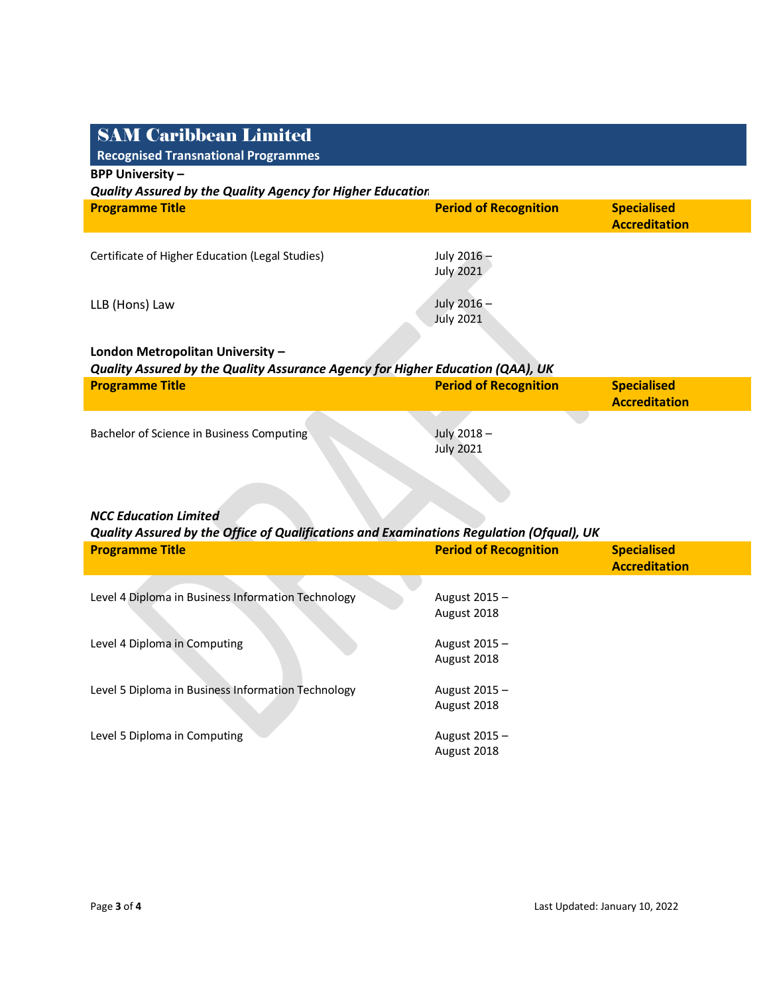| <b>SAM Caribbean Limited</b>                                                             |                                 |                                            |
|------------------------------------------------------------------------------------------|---------------------------------|--------------------------------------------|
| <b>Recognised Transnational Programmes</b><br><b>BPP University -</b>                    |                                 |                                            |
| <b>Quality Assured by the Quality Agency for Higher Education</b>                        |                                 |                                            |
| <b>Programme Title</b>                                                                   | <b>Period of Recognition</b>    | <b>Specialised</b>                         |
|                                                                                          |                                 | <b>Accreditation</b>                       |
| Certificate of Higher Education (Legal Studies)                                          | July 2016-<br><b>July 2021</b>  |                                            |
| LLB (Hons) Law                                                                           | July 2016 -<br><b>July 2021</b> |                                            |
| London Metropolitan University -                                                         |                                 |                                            |
| Quality Assured by the Quality Assurance Agency for Higher Education (QAA), UK           |                                 |                                            |
| <b>Programme Title</b>                                                                   | <b>Period of Recognition</b>    | <b>Specialised</b>                         |
|                                                                                          |                                 | <b>Accreditation</b>                       |
| Bachelor of Science in Business Computing                                                | July 2018-                      |                                            |
|                                                                                          | <b>July 2021</b>                |                                            |
|                                                                                          |                                 |                                            |
|                                                                                          |                                 |                                            |
| <b>NCC Education Limited</b>                                                             |                                 |                                            |
| Quality Assured by the Office of Qualifications and Examinations Regulation (Ofqual), UK |                                 |                                            |
| <b>Programme Title</b>                                                                   | <b>Period of Recognition</b>    | <b>Specialised</b><br><b>Accreditation</b> |
|                                                                                          |                                 |                                            |
| Level 4 Diploma in Business Information Technology                                       | August 2015 -                   |                                            |
|                                                                                          | August 2018                     |                                            |
| Level 4 Diploma in Computing                                                             | August 2015 -                   |                                            |
|                                                                                          | August 2018                     |                                            |
| Level 5 Diploma in Business Information Technology                                       | August 2015 -                   |                                            |
|                                                                                          | August 2018                     |                                            |
|                                                                                          |                                 |                                            |
| Level 5 Diploma in Computing                                                             | August 2015 -<br>August 2018    |                                            |
|                                                                                          |                                 |                                            |